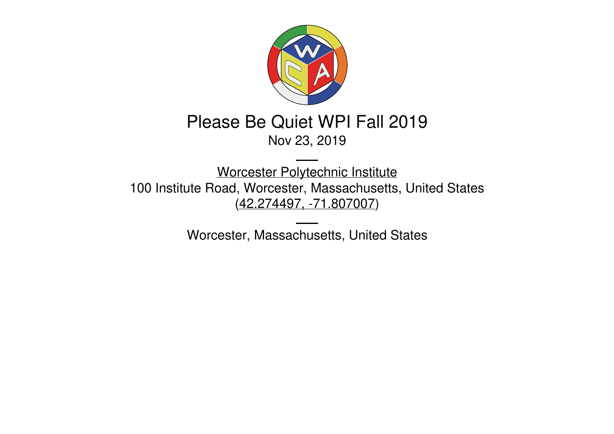

# Please Be Quiet WPI Fall 2019

### Nov 23, 2019

Worcester [Polytechnic](https://www.wpi.edu/) Institute 100 Institute Road, Worcester, Massachusetts, United States (42.274497, [-71.807007](https://www.google.com/maps/place/42.274497,-71.807007))

Worcester, Massachusetts, United States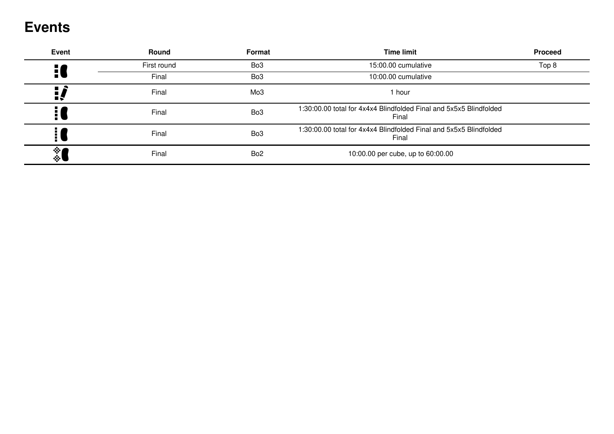### **Events**

| <b>Event</b>        | <b>Round</b> | Format          | <b>Time limit</b>                                                           | <b>Proceed</b> |
|---------------------|--------------|-----------------|-----------------------------------------------------------------------------|----------------|
| $\frac{1}{2}$       | First round  | Bo <sub>3</sub> | 15:00.00 cumulative                                                         | Top 8          |
|                     | Final        | Bo <sub>3</sub> | 10:00.00 cumulative                                                         |                |
| <u> </u>            | Final        | Mo <sub>3</sub> | 1 hour                                                                      |                |
|                     | Final        | Bo <sub>3</sub> | 1:30:00.00 total for 4x4x4 Blindfolded Final and 5x5x5 Blindfolded<br>Final |                |
| H                   | Final        | Bo <sub>3</sub> | 1:30:00.00 total for 4x4x4 Blindfolded Final and 5x5x5 Blindfolded<br>Final |                |
| 樂<br>$\mathbb{R}^n$ | Final        | Bo <sub>2</sub> | 10:00.00 per cube, up to 60:00.00                                           |                |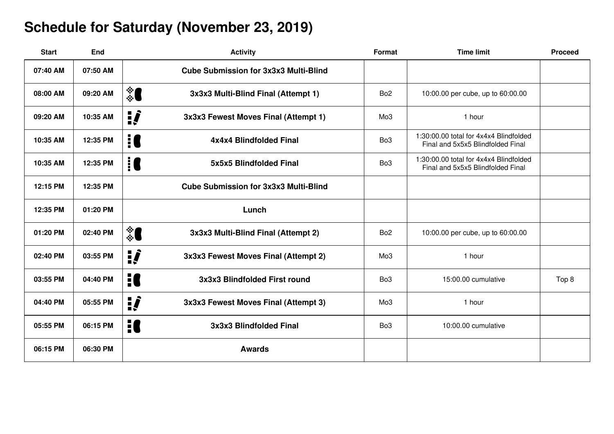## **Schedule for Saturday (November 23, 2019)**

| <b>Start</b> | End      | <b>Activity</b>                                      | Format          | <b>Time limit</b>                                                           | <b>Proceed</b> |
|--------------|----------|------------------------------------------------------|-----------------|-----------------------------------------------------------------------------|----------------|
| 07:40 AM     | 07:50 AM | <b>Cube Submission for 3x3x3 Multi-Blind</b>         |                 |                                                                             |                |
| 08:00 AM     | 09:20 AM | ै<br>3x3x3 Multi-Blind Final (Attempt 1)             | Bo <sub>2</sub> | 10:00.00 per cube, up to 60:00.00                                           |                |
| 09:20 AM     | 10:35 AM | $\mathbf{i}$<br>3x3x3 Fewest Moves Final (Attempt 1) | Mo3             | 1 hour                                                                      |                |
| 10:35 AM     | 12:35 PM | 10<br>4x4x4 Blindfolded Final                        | Bo <sub>3</sub> | 1:30:00.00 total for 4x4x4 Blindfolded<br>Final and 5x5x5 Blindfolded Final |                |
| 10:35 AM     | 12:35 PM | <b>i</b> C<br>5x5x5 Blindfolded Final                | Bo <sub>3</sub> | 1:30:00.00 total for 4x4x4 Blindfolded<br>Final and 5x5x5 Blindfolded Final |                |
| 12:15 PM     | 12:35 PM | <b>Cube Submission for 3x3x3 Multi-Blind</b>         |                 |                                                                             |                |
| 12:35 PM     | 01:20 PM | Lunch                                                |                 |                                                                             |                |
| 01:20 PM     | 02:40 PM | ै<br>3x3x3 Multi-Blind Final (Attempt 2)             | Bo <sub>2</sub> | 10:00.00 per cube, up to 60:00.00                                           |                |
| 02:40 PM     | 03:55 PM | <u>:</u><br>3x3x3 Fewest Moves Final (Attempt 2)     | Mo <sub>3</sub> | 1 hour                                                                      |                |
| 03:55 PM     | 04:40 PM | H<br>3x3x3 Blindfolded First round                   | Bo <sub>3</sub> | 15:00.00 cumulative                                                         | Top 8          |
| 04:40 PM     | 05:55 PM | $\mathbf{i}$<br>3x3x3 Fewest Moves Final (Attempt 3) | Mo <sub>3</sub> | 1 hour                                                                      |                |
| 05:55 PM     | 06:15 PM | 10<br>3x3x3 Blindfolded Final                        | Bo <sub>3</sub> | 10:00.00 cumulative                                                         |                |
| 06:15 PM     | 06:30 PM | <b>Awards</b>                                        |                 |                                                                             |                |